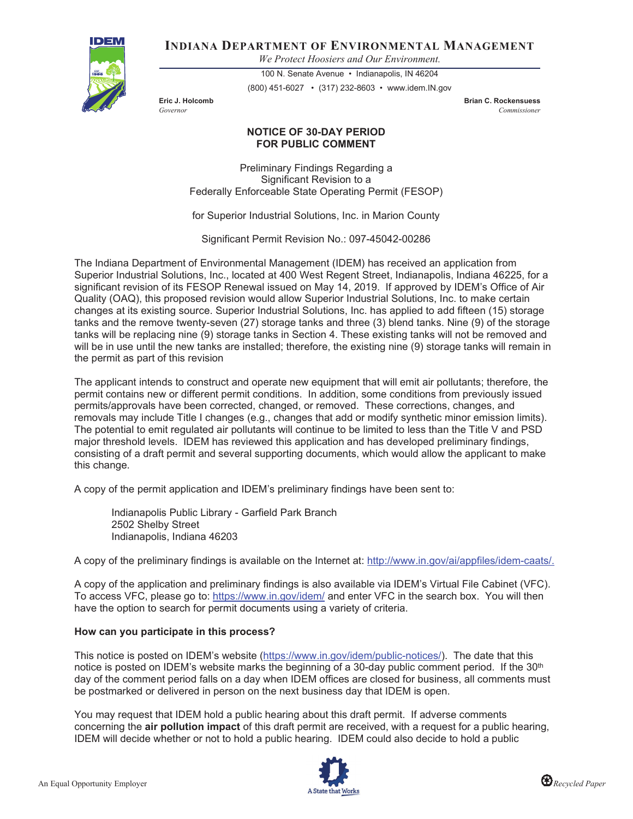

**INDIANA DEPARTMENT OF ENVIRONMENTAL MANAGEMENT**

*We Protect Hoosiers and Our Environment.*

100 N. Senate Avenue • Indianapolis, IN 46204 (800) 451-6027 • (317) 232-8603 • www.idem.IN.gov

**Eric J. Holcomb Brian C. Rockensuess** *Governor Commissioner*

## **NOTICE OF 30-DAY PERIOD FOR PUBLIC COMMENT**

Preliminary Findings Regarding a Significant Revision to a Federally Enforceable State Operating Permit (FESOP)

for Superior Industrial Solutions, Inc. in Marion County

Significant Permit Revision No.: 097-45042-00286

The Indiana Department of Environmental Management (IDEM) has received an application from Superior Industrial Solutions, Inc., located at 400 West Regent Street, Indianapolis, Indiana 46225, for a significant revision of its FESOP Renewal issued on May 14, 2019. If approved by IDEM's Office of Air Quality (OAQ), this proposed revision would allow Superior Industrial Solutions, Inc. to make certain changes at its existing source. Superior Industrial Solutions, Inc. has applied to add fifteen (15) storage tanks and the remove twenty-seven (27) storage tanks and three (3) blend tanks. Nine (9) of the storage tanks will be replacing nine (9) storage tanks in Section 4. These existing tanks will not be removed and will be in use until the new tanks are installed; therefore, the existing nine (9) storage tanks will remain in the permit as part of this revision

The applicant intends to construct and operate new equipment that will emit air pollutants; therefore, the permit contains new or different permit conditions. In addition, some conditions from previously issued permits/approvals have been corrected, changed, or removed. These corrections, changes, and removals may include Title I changes (e.g., changes that add or modify synthetic minor emission limits). The potential to emit regulated air pollutants will continue to be limited to less than the Title V and PSD major threshold levels. IDEM has reviewed this application and has developed preliminary findings, consisting of a draft permit and several supporting documents, which would allow the applicant to make this change.

A copy of the permit application and IDEM's preliminary findings have been sent to:

Indianapolis Public Library - Garfield Park Branch 2502 Shelby Street Indianapolis, Indiana 46203

A copy of the preliminary findings is available on the Internet at: http://www.in.gov/ai/appfiles/idem-caats/.

A copy of the application and preliminary findings is also available via IDEM's Virtual File Cabinet (VFC). To access VFC, please go to: https://www.in.gov/idem/ and enter VFC in the search box. You will then have the option to search for permit documents using a variety of criteria.

## **How can you participate in this process?**

This notice is posted on IDEM's website (https://www.in.gov/idem/public-notices/). The date that this notice is posted on IDEM's website marks the beginning of a 30-day public comment period. If the 30<sup>th</sup> day of the comment period falls on a day when IDEM offices are closed for business, all comments must be postmarked or delivered in person on the next business day that IDEM is open.

You may request that IDEM hold a public hearing about this draft permit. If adverse comments concerning the **air pollution impact** of this draft permit are received, with a request for a public hearing, IDEM will decide whether or not to hold a public hearing. IDEM could also decide to hold a public